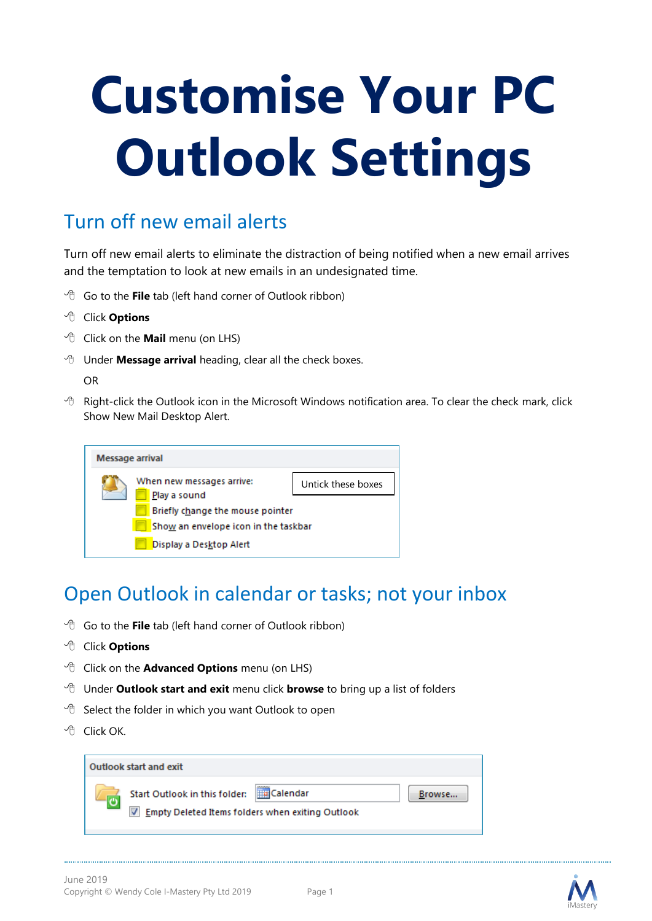# **Customise Your PC Outlook Settings**

# Turn off new email alerts

Turn off new email alerts to eliminate the distraction of being notified when a new email arrives and the temptation to look at new emails in an undesignated time.

- Go to the **File** tab (left hand corner of Outlook ribbon)
- Click **Options**
- Click on the **Mail** menu (on LHS)
- Under **Message arrival** heading, clear all the check boxes.

OR

 $\forall$  Right-click the Outlook icon in the Microsoft Windows notification area. To clear the check mark, click Show New Mail Desktop Alert.

| Message arrival |                                                                 |                    |  |  |
|-----------------|-----------------------------------------------------------------|--------------------|--|--|
|                 | When new messages arrive:<br>Play a sound                       | Untick these boxes |  |  |
|                 | Briefly change the mouse pointer                                |                    |  |  |
|                 | Show an envelope icon in the taskbar<br>Display a Desktop Alert |                    |  |  |

# Open Outlook in calendar or tasks; not your inbox

- <sup>t</sup> Go to the **File** tab (left hand corner of Outlook ribbon)
- Click **Options**
- Click on the **Advanced Options** menu (on LHS)
- Under **Outlook start and exit** menu click **browse** to bring up a list of folders
- $\partial$  Select the folder in which you want Outlook to open
- Click OK.

| Outlook start and exit                                                                   |                                 |        |
|------------------------------------------------------------------------------------------|---------------------------------|--------|
| Start Outlook in this folder:<br><b>Empty Deleted Items folders when exiting Outlook</b> | connoce<br><b>Half</b> Calendar | Browse |



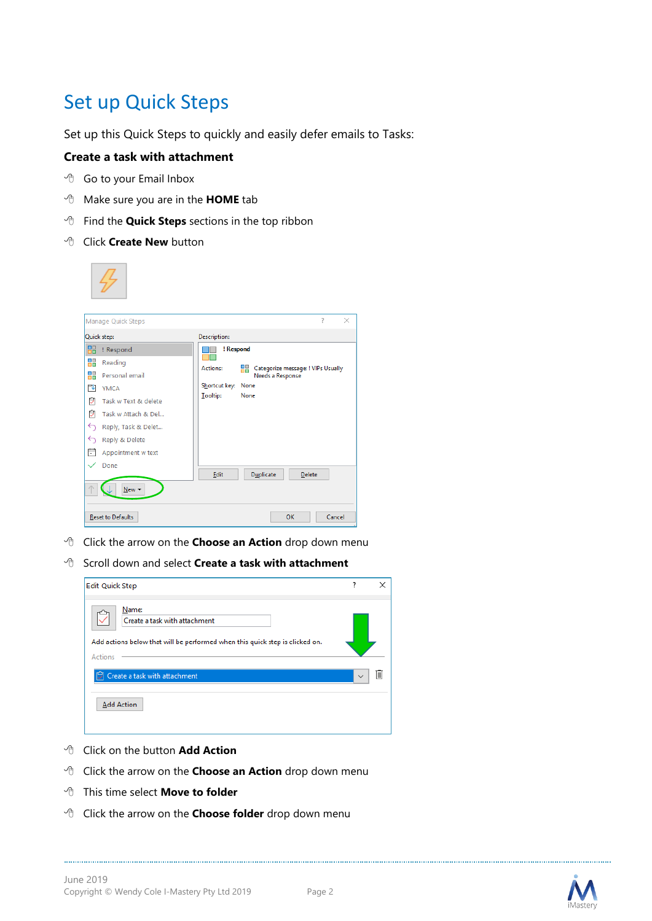# Set up Quick Steps

Set up this Quick Steps to quickly and easily defer emails to Tasks:

#### **Create a task with attachment**

- Go to your Email Inbox
- Make sure you are in the **HOME** tab
- Find the **Quick Steps** sections in the top ribbon
- Click **Create New** button

|                   | Manage Quick Steps       |                     |                  |                                    | ? | $\times$ |
|-------------------|--------------------------|---------------------|------------------|------------------------------------|---|----------|
| Quick step:       |                          | <b>Description:</b> |                  |                                    |   |          |
| 品                 | ! Respond                | ! Respond           |                  |                                    |   |          |
| ₩                 | Reading                  | <b>Actions:</b>     | 88               | Categorize message: ! VIPs Usually |   |          |
| ₩                 | Personal email           |                     | Needs a Response |                                    |   |          |
| 禸                 | <b>YMCA</b>              | Shortcut key: None  |                  |                                    |   |          |
| ₿                 | Task w Text & delete     | <b>Tooltip:</b>     | None             |                                    |   |          |
| Ů                 | Task w Attach & Del      |                     |                  |                                    |   |          |
| ⇆                 | Reply, Task & Delet      |                     |                  |                                    |   |          |
| $\leftrightarrow$ | Reply & Delete           |                     |                  |                                    |   |          |
| Ħ                 | Appointment w text       |                     |                  |                                    |   |          |
|                   | Done                     |                     |                  |                                    |   |          |
|                   |                          | Edit                | Duplicate        | Delete                             |   |          |
|                   | New $\blacktriangledown$ |                     |                  |                                    |   |          |
|                   |                          |                     |                  |                                    |   |          |
|                   | <b>Reset to Defaults</b> |                     |                  | OK                                 |   | Cancel   |

- Click the arrow on the **Choose an Action** drop down menu
- Scroll down and select **Create a task with attachment**

| <b>Edit Quick Step</b>                                                                                                            | 7            |    |
|-----------------------------------------------------------------------------------------------------------------------------------|--------------|----|
| Name:<br>Create a task with attachment<br>Add actions below that will be performed when this quick step is clicked on.<br>Actions |              |    |
| Create a task with attachment<br>M                                                                                                | $\checkmark$ | IШ |
| <b>Add Action</b>                                                                                                                 |              |    |

- Click on the button **Add Action**
- Click the arrow on the **Choose an Action** drop down menu
- This time select **Move to folder**
- Click the arrow on the **Choose folder** drop down menu



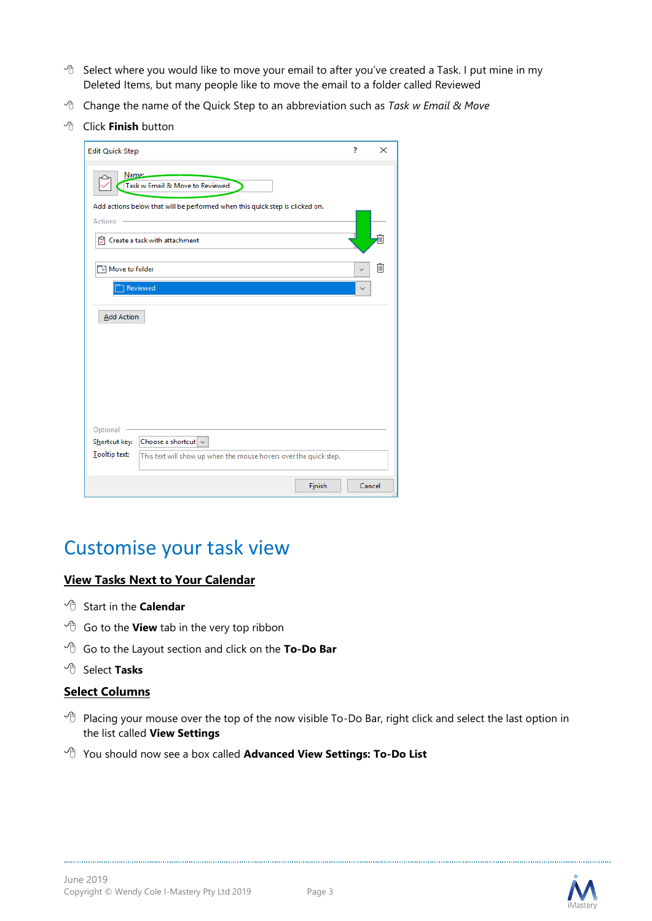- <sup>t</sup> Select where you would like to move your email to after you've created a Task. I put mine in my Deleted Items, but many people like to move the email to a folder called Reviewed
- Change the name of the Quick Step to an abbreviation such as *Task w Email & Move*
- Click **Finish** button

| Edit Quick Step                                                                                | 7 | $\times$ |
|------------------------------------------------------------------------------------------------|---|----------|
| Name:<br>Task w Email & Move to Reviewed                                                       |   |          |
| Add actions below that will be performed when this quick step is clicked on.<br><b>Actions</b> |   |          |
| Create a task with attachment                                                                  |   | ╢        |
| <b>Nove to folder</b>                                                                          |   | IIII     |
| Reviewed                                                                                       |   |          |
| <b>Add Action</b>                                                                              |   |          |
|                                                                                                |   |          |
|                                                                                                |   |          |
|                                                                                                |   |          |
| Optional                                                                                       |   |          |
| Choose a shortcut $\vert \vee \vert$<br>Shortcut key:                                          |   |          |
| Tooltip text:<br>This text will show up when the mouse hovers over the quick step.             |   |          |
| Finish                                                                                         |   | Cancel   |

## Customise your task view

#### **View Tasks Next to Your Calendar**

- <sup>t</sup> Start in the **Calendar**
- <sup>t</sup> Go to the **View** tab in the very top ribbon
- Go to the Layout section and click on the **To-Do Bar**
- <sup></sub><sup><sup></sup> Select **Tasks**</sup></sup>

#### **Select Columns**

- $\sqrt{\theta}$  Placing your mouse over the top of the now visible To-Do Bar, right click and select the last option in the list called **View Settings**
- You should now see a box called **Advanced View Settings: To-Do List**



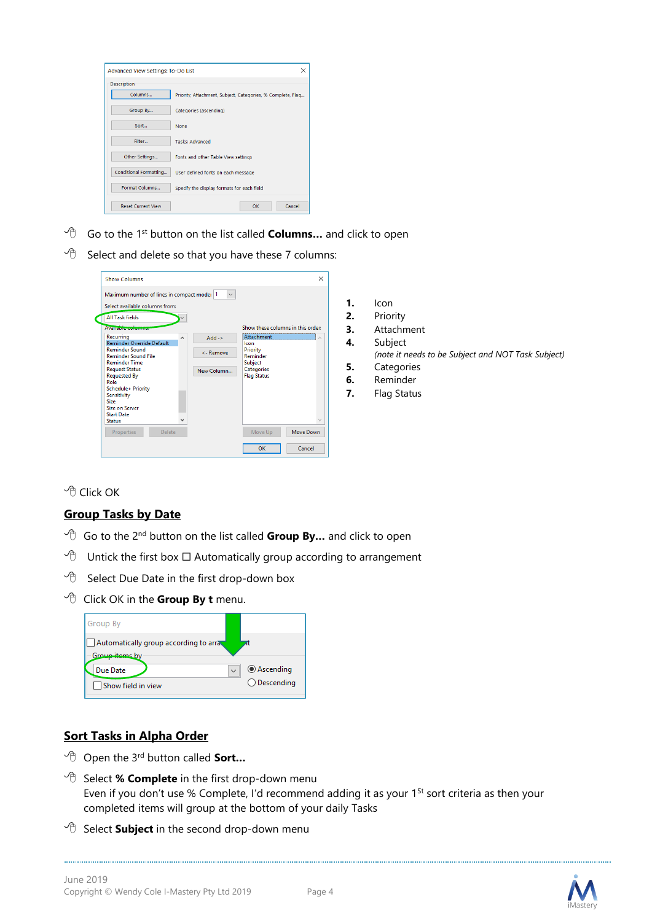

- Go to the 1st button on the list called **Columns…** and click to open
- $\sqrt{a}$  Select and delete so that you have these 7 columns:

| Maximum number of lines in compact mode: 1          |              | $\checkmark$ |                                                |
|-----------------------------------------------------|--------------|--------------|------------------------------------------------|
| Select available columns from:                      |              |              |                                                |
| <b>All Task fields</b><br><b>Available-columns</b>  |              |              | Show these columns in this order:              |
| Recurring<br><b>Reminder Override Default</b>       | ۸            | $Add -$      | Attachment<br>$\overline{\phantom{a}}$<br>Icon |
| <b>Reminder Sound</b><br><b>Reminder Sound File</b> |              | <- Remove    | Priority<br>Reminder                           |
| <b>Reminder Time</b>                                |              |              | Subject                                        |
| <b>Request Status</b>                               |              | New Column   | Categories                                     |
| <b>Requested By</b><br>Role                         |              |              | <b>Flag Status</b>                             |
| Schedule+ Priority                                  |              |              |                                                |
| Sensitivity<br>Size                                 |              |              |                                                |
| Size on Server                                      |              |              |                                                |
| <b>Start Date</b>                                   |              |              |                                                |
| <b>Status</b>                                       | $\checkmark$ |              |                                                |
| Properties<br>Delete                                |              |              | Move Down<br>Move Up                           |

- **1.** Icon
- **2.** Priority
- **3.** Attachment
- **4.** Subject
	- *(note it needs to be Subject and NOT Task Subject)*
- **5.** Categories
- **6.** Reminder
- **7.** Flag Status

<sup></sub><sup>O</sup> Click OK</sup>

#### **Group Tasks by Date**

- <sup>1</sup> Go to the 2<sup>nd</sup> button on the list called **Group By...** and click to open
- $\Diamond$  Untick the first box  $\Box$  Automatically group according to arrangement
- $\partial$  Select Due Date in the first drop-down box
- Click OK in the **Group By t** menu.

| Group By                                                |                |
|---------------------------------------------------------|----------------|
| Automatically group according to arra<br>Group items by |                |
| Due Date                                                | ◉ Ascending    |
| Show field in view                                      | $O$ Descending |

#### **Sort Tasks in Alpha Order**

- Open the 3rd button called **Sort…**
- <sup>t</sup> Select % **Complete** in the first drop-down menu Even if you don't use % Complete, I'd recommend adding it as your 1<sup>St</sup> sort criteria as then your completed items will group at the bottom of your daily Tasks
- <sup>t</sup> Select **Subject** in the second drop-down menu



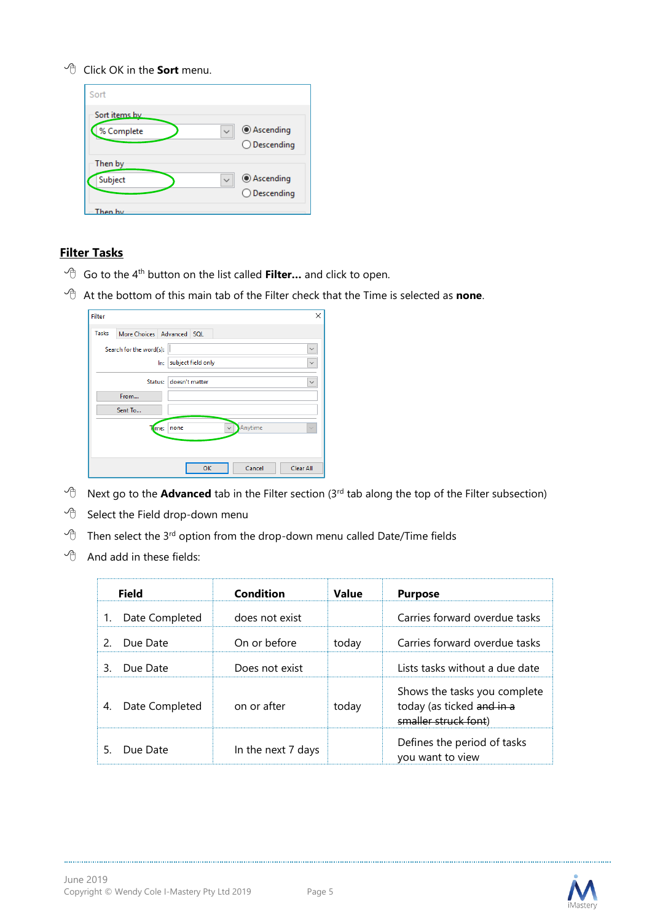#### Click OK in the **Sort** menu.

| Sort                         |                                      |
|------------------------------|--------------------------------------|
| Sort items by<br>% Complete  | ◉ Ascending<br>$\bigcirc$ Descending |
| Then by<br>Subject<br>hen hv | ◉ Ascending<br>$\bigcirc$ Descending |

#### **Filter Tasks**

- <sup>t</sup> Go to the 4<sup>th</sup> button on the list called **Filter...** and click to open.
- At the bottom of this main tab of the Filter check that the Time is selected as **none**.

| Filter       |                           |                                 | ×            |
|--------------|---------------------------|---------------------------------|--------------|
| <b>Tasks</b> | More Choices Advanced SQL |                                 |              |
|              | Search for the word(s):   |                                 | $\checkmark$ |
|              | lm:                       | subject field only              | $\checkmark$ |
|              | <b>Status:</b>            | doesn't matter                  | $\checkmark$ |
|              | From                      |                                 |              |
|              | Sent To                   |                                 |              |
|              | ime:                      | Anytime<br>none<br>$\checkmark$ | $\checkmark$ |
|              |                           |                                 |              |
|              |                           | Cancel<br>OK                    | Clear All    |

- $\sqrt{2}$  Next go to the **Advanced** tab in the Filter section (3<sup>rd</sup> tab along the top of the Filter subsection)
- $\partial$  Select the Field drop-down menu
- Then select the 3<sup>rd</sup> option from the drop-down menu called Date/Time fields
- $\Theta$  And add in these fields:

|    | Field          | Condition          | Value | <b>Purpose</b>                                                                    |
|----|----------------|--------------------|-------|-----------------------------------------------------------------------------------|
|    | Date Completed | does not exist     |       | Carries forward overdue tasks                                                     |
| 2  | Due Date       | On or before       | today | Carries forward overdue tasks                                                     |
| 3. | Due Date       | Does not exist     |       | Lists tasks without a due date                                                    |
|    | Date Completed | on or after        | today | Shows the tasks you complete<br>today (as ticked and in a<br>smaller struck font) |
|    | Due Date       | In the next 7 days |       | Defines the period of tasks<br>you want to view                                   |

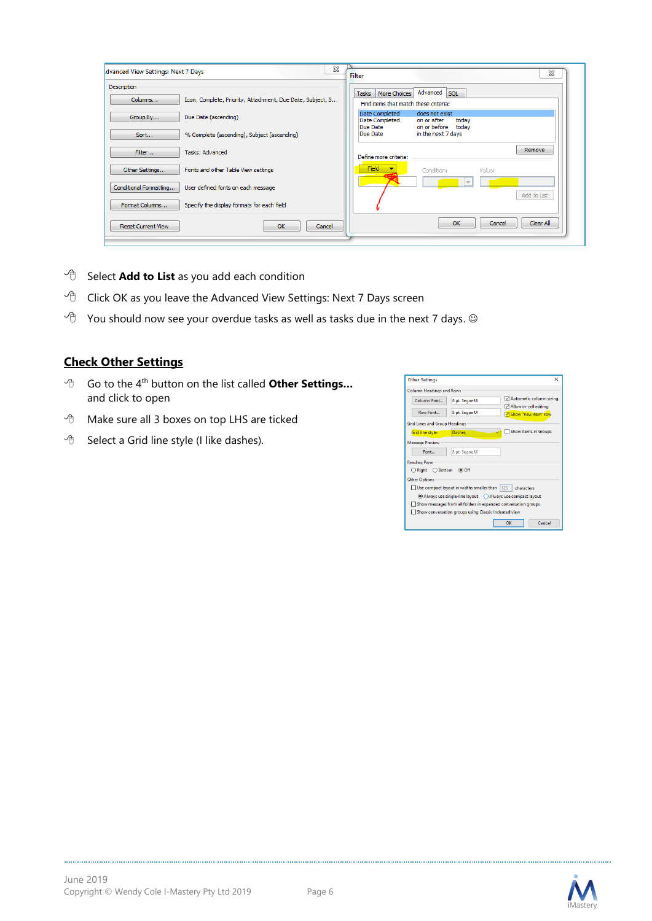| <b>Description</b>        |                                                            |                                                                |                                                                 |
|---------------------------|------------------------------------------------------------|----------------------------------------------------------------|-----------------------------------------------------------------|
| Columns                   | Icon, Complete, Priority, Attachment, Due Date, Subject, S | More Choices<br>Tasks<br>Find items that match these criteria: | Advanced SOL                                                    |
| Group By                  | Due Date (ascending)                                       | Date Completed<br>Date Completed<br>Due Date                   | does not exist<br>on or after<br>today<br>on or before<br>todav |
| Sort                      | % Complete (ascending), Subject (ascending)                | Due Date                                                       | in the next 7 days                                              |
| Filter                    | Tasks: Advanced                                            | Define more criteria:                                          | Remove                                                          |
| Other Settings            | Fonts and other Table View settings                        | <b>Field</b>                                                   | Value:<br>Condition:                                            |
| Conditional Formatting    | User defined fonts on each message                         |                                                                | Add to List                                                     |
| Format Columns            | Specify the display formats for each field                 |                                                                |                                                                 |
| <b>Reset Current View</b> | OK<br>Cancel                                               |                                                                | Clear All<br>OK<br>Cancel                                       |

- <sup>-</sup> $\oplus$  Select **Add to List** as you add each condition
- $\sqrt{\theta}$  Click OK as you leave the Advanced View Settings: Next 7 Days screen
- $\Diamond$  You should now see your overdue tasks as well as tasks due in the next 7 days.  $\circledcirc$

### **Check Other Settings**

- Go to the 4th button on the list called **Other Settings…**  and click to open
- Make sure all 3 boxes on top LHS are ticked
- $\Theta$  Select a Grid line style (I like dashes).

| <b>Other Settings</b>                |                                                      |                                                                |
|--------------------------------------|------------------------------------------------------|----------------------------------------------------------------|
| <b>Column Headings and Rows</b>      |                                                      |                                                                |
| Column Font                          | 8 pt. Segoe UI                                       | Automatic column sizing                                        |
|                                      |                                                      | Allow in-cell editing                                          |
| Row Font                             | 8 pt. Segoe UI                                       | Show "new item" row                                            |
| <b>Grid Lines and Group Headings</b> |                                                      |                                                                |
| <b>Grid line style:</b>              | Dashes                                               | Show items in Groups                                           |
| <b>Message Preview</b>               |                                                      |                                                                |
| Font                                 | 8 pt. Segoe UI                                       |                                                                |
| <b>Reading Pane</b>                  |                                                      |                                                                |
| $\bigcirc$ Right $\bigcirc$ Bottom   | (● Off                                               |                                                                |
| <b>Other Options</b>                 |                                                      |                                                                |
|                                      |                                                      |                                                                |
|                                      | Use compact layout in widths smaller than  125       | characters                                                     |
|                                      |                                                      | Always use single-line layout Always use compact layout        |
|                                      |                                                      | Show messages from all folders in expanded conversation groups |
|                                      | Show conversation groups using Classic Indented view |                                                                |
|                                      |                                                      | Cancel<br>OK                                                   |
|                                      |                                                      |                                                                |

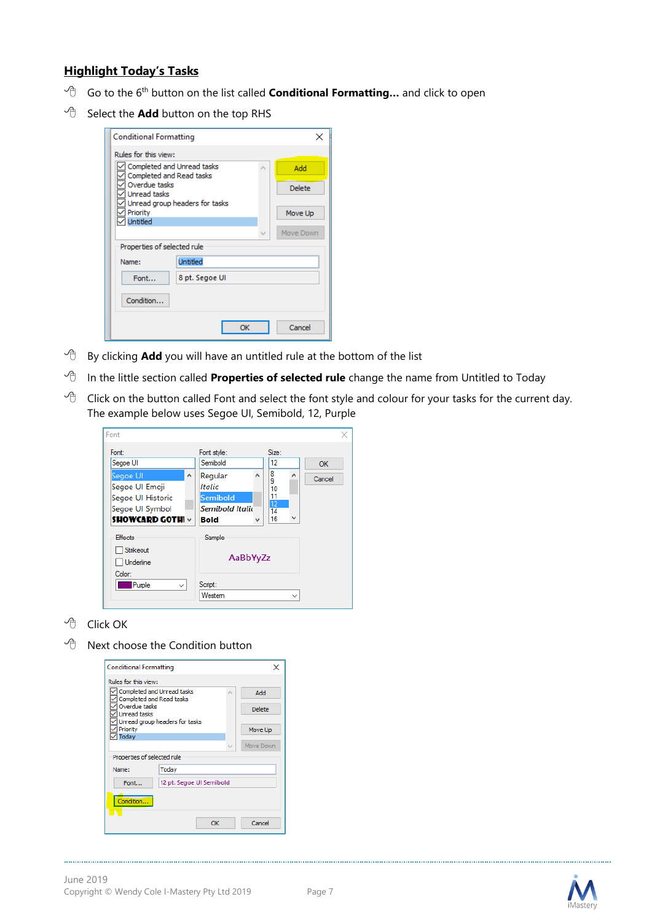#### **Highlight Today's Tasks**

- Go to the 6th button on the list called **Conditional Formatting…** and click to open
- $\sqrt{2}$  Select the **Add** button on the top RHS

| <b>Conditional Formatting</b>                             |                 |  |    |               |           |
|-----------------------------------------------------------|-----------------|--|----|---------------|-----------|
| Rules for this view:                                      |                 |  |    |               |           |
| Completed and Unread tasks                                |                 |  |    | ×.            | Add       |
| Completed and Read tasks<br>Overdue tasks<br>Unread tasks |                 |  |    | <b>Delete</b> |           |
| Unread group headers for tasks<br>Priority                |                 |  |    |               | Move Up   |
| Untitled                                                  |                 |  |    | w             | Move Down |
| Properties of selected rule                               |                 |  |    |               |           |
| Name:                                                     | <b>Untitled</b> |  |    |               |           |
| Font                                                      | 8 pt. Segoe UI  |  |    |               |           |
| Condition                                                 |                 |  |    |               |           |
|                                                           |                 |  | OK |               | Cancel    |

- $\Theta$  By clicking **Add** you will have an untitled rule at the bottom of the list
- <sup>-</sup>*In the little section called Properties of selected rule change the name from Untitled to Today*
- $\Diamond$  Click on the button called Font and select the font style and colour for your tasks for the current day. The example below uses Segoe UI, Semibold, 12, Purple

| Font                                                                                                                          |                                                                                                                  |                                                                                            | ×            |
|-------------------------------------------------------------------------------------------------------------------------------|------------------------------------------------------------------------------------------------------------------|--------------------------------------------------------------------------------------------|--------------|
| Font:<br>Segoe UI<br>Segoe UI<br>$\wedge$<br>Segoe UI Emoji<br>Segoe UI Historic<br>Segoe UI Symbol<br><b>SHOWCARD GOTH V</b> | Font style:<br>Semibold<br>$\sim$<br>Regular<br>Italic<br>Semibold<br><b>Semibold Italio</b><br><b>Bold</b><br>w | Size:<br>12<br>8<br>$\hat{\phantom{a}}$<br>9<br>10<br>11<br>12<br>14<br>$\checkmark$<br>16 | OK<br>Cancel |
| <b>Effects</b><br>Strikeout<br><b>Underline</b><br>Color:<br>Purple<br>$\checkmark$                                           | Sample<br>AaBbYyZz<br>Script:<br>Westem                                                                          | $\checkmark$                                                                               |              |

<sup>-</sup>*A* Click OK

 $\Theta$  Next choose the Condition button

| <b>Conditional Formatting</b>                          |                                |    |        |           |
|--------------------------------------------------------|--------------------------------|----|--------|-----------|
| Rules for this view:                                   |                                |    |        |           |
| Completed and Unread tasks<br>Completed and Read tasks |                                |    | ۸      | Add       |
| Overdue tasks<br>Unread tasks                          |                                |    |        | Delete    |
| Priority                                               | Unread group headers for tasks |    |        | Move Up   |
| Todav                                                  |                                |    | $\cup$ | Move Down |
| Properties of selected rule                            |                                |    |        |           |
| Name:                                                  | Todav                          |    |        |           |
| Font                                                   | 12 pt. Segoe UI Semibold       |    |        |           |
| Condition                                              |                                |    |        |           |
|                                                        |                                | OK |        | Cancel    |

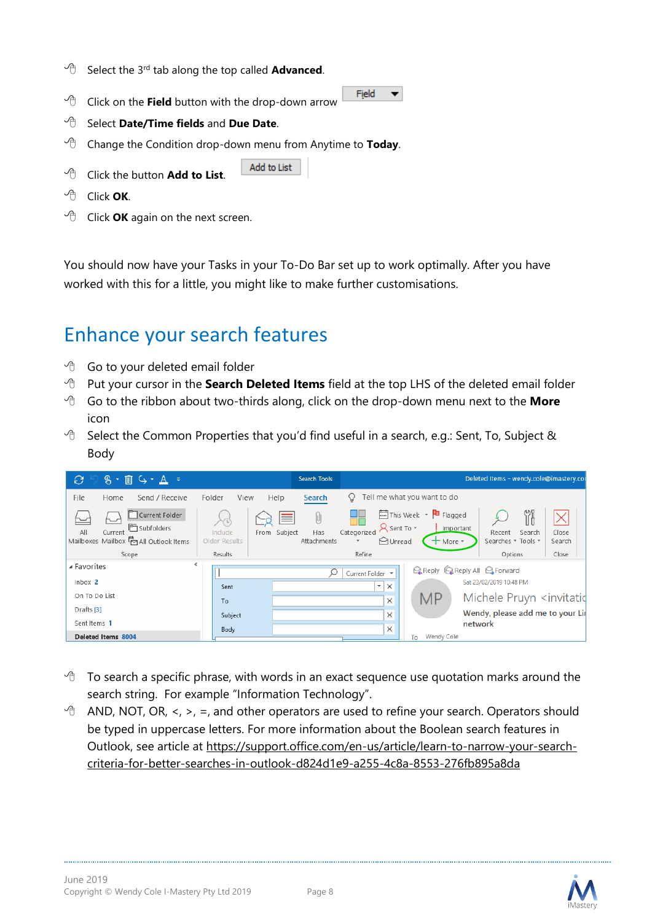- $\sqrt{\theta}$  Select the 3<sup>rd</sup> tab along the top called **Advanced**.
- $\sqrt{2}$  Click on the Field button with the drop-down arrow
- Select **Date/Time fields** and **Due Date**.
- Change the Condition drop-down menu from Anytime to **Today**.

Add to List

- <sup>t</sup> Click the button **Add to List**.
- Click **OK**.
- <sup>-</sup>*C* Click **OK** again on the next screen.

You should now have your Tasks in your To-Do Bar set up to work optimally. After you have worked with this for a little, you might like to make further customisations.

Field

 $\blacktriangledown$ 

## Enhance your search features

- <sup>t</sup> Go to your deleted email folder
- Put your cursor in the **Search Deleted Items** field at the top LHS of the deleted email folder
- Go to the ribbon about two-thirds along, click on the drop-down menu next to the **More** icon
- <sup>t</sup> Select the Common Properties that you'd find useful in a search, e.g.: Sent, To, Subject & Body



- $\sqrt{g}$  To search a specific phrase, with words in an exact sequence use quotation marks around the search string. For example "Information Technology".
- $\Theta$  AND, NOT, OR, <, >, =, and other operators are used to refine your search. Operators should be typed in uppercase letters. For more information about the Boolean search features in Outlook, see article at [https://support.office.com/en-us/article/learn-to-narrow-your-search](https://support.office.com/en-us/article/learn-to-narrow-your-search-criteria-for-better-searches-in-outlook-d824d1e9-a255-4c8a-8553-276fb895a8da)[criteria-for-better-searches-in-outlook-d824d1e9-a255-4c8a-8553-276fb895a8da](https://support.office.com/en-us/article/learn-to-narrow-your-search-criteria-for-better-searches-in-outlook-d824d1e9-a255-4c8a-8553-276fb895a8da)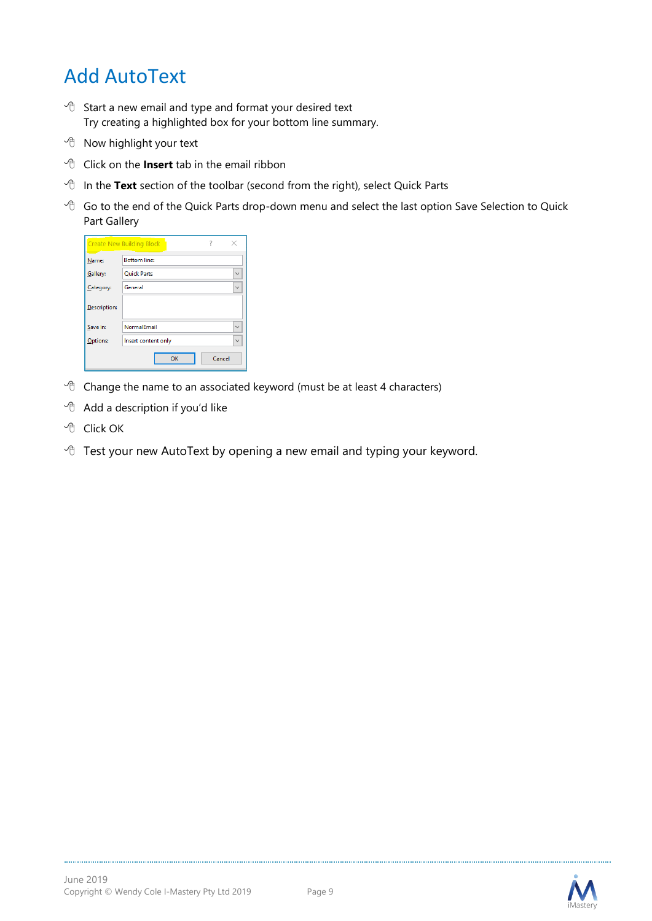# Add AutoText

- $\sqrt{2}$  Start a new email and type and format your desired text Try creating a highlighted box for your bottom line summary.
- $\Theta$  Now highlight your text
- <sup>t</sup> Click on the **Insert** tab in the email ribbon
- <sup><sup>t</sup> In the **Text** section of the toolbar (second from the right), select Quick Parts</sup>
- $\sqrt{\theta}$  Go to the end of the Quick Parts drop-down menu and select the last option Save Selection to Quick Part Gallery

| 7<br><b>Create New Building Block</b> |                                             |  |
|---------------------------------------|---------------------------------------------|--|
| Name:                                 | <b>Bottom line:</b>                         |  |
| Gallery:                              | <b>Ouick Parts</b><br>$\checkmark$          |  |
| Category:                             | General<br>$\ddotmark$                      |  |
| Description:                          |                                             |  |
| Save in:                              | NormalEmail<br>$\vee$                       |  |
| Options:                              | Insert content only<br>$\ddot{\phantom{r}}$ |  |
|                                       | OK<br>Cancel                                |  |

- $\sqrt{2}$  Change the name to an associated keyword (must be at least 4 characters)
- $\Theta$  Add a description if you'd like
- <sup></sub><sup>O</sup> Click OK</sup>
- $\sqrt{2}$  Test your new AutoText by opening a new email and typing your keyword.